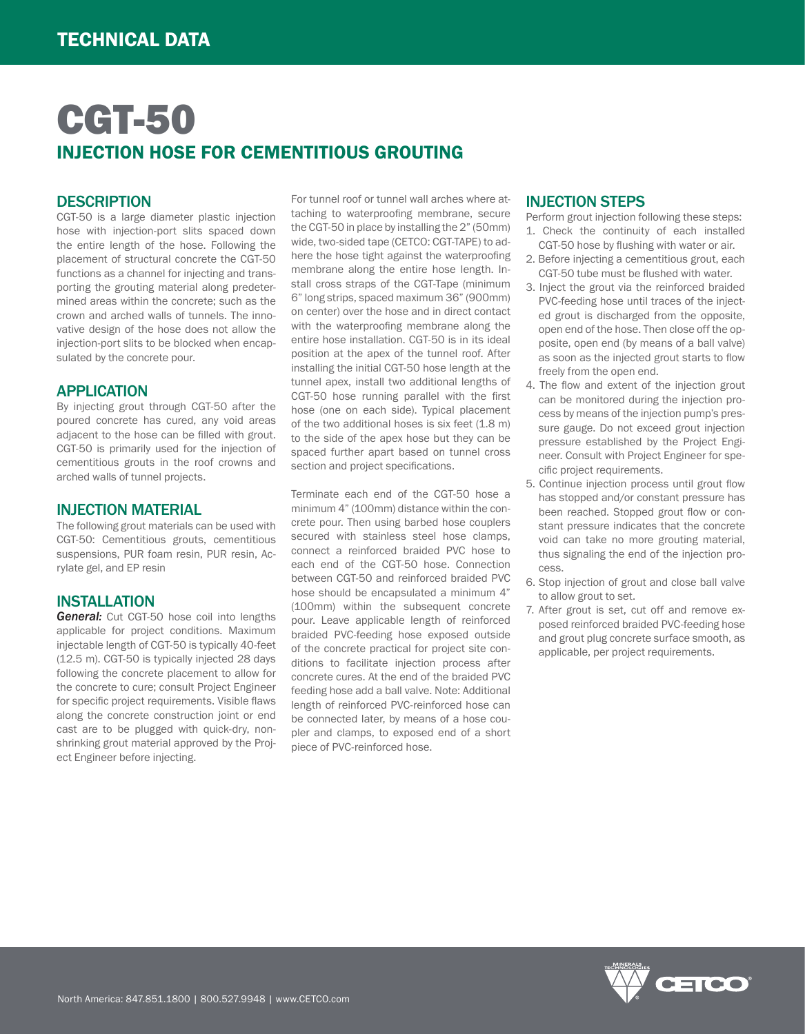# CGT-50 INJECTION HOSE FOR CEMENTITIOUS GROUTING

### **DESCRIPTION**

CGT-50 is a large diameter plastic injection hose with injection-port slits spaced down the entire length of the hose. Following the placement of structural concrete the CGT-50 functions as a channel for injecting and transporting the grouting material along predetermined areas within the concrete; such as the crown and arched walls of tunnels. The innovative design of the hose does not allow the injection-port slits to be blocked when encapsulated by the concrete pour.

### APPLICATION

By injecting grout through CGT-50 after the poured concrete has cured, any void areas adjacent to the hose can be filled with grout. CGT-50 is primarily used for the injection of cementitious grouts in the roof crowns and arched walls of tunnel projects.

### INJECTION MATERIAL

The following grout materials can be used with CGT-50: Cementitious grouts, cementitious suspensions, PUR foam resin, PUR resin, Acrylate gel, and EP resin

### INSTALLATION

*General:* Cut CGT-50 hose coil into lengths applicable for project conditions. Maximum injectable length of CGT-50 is typically 40-feet (12.5 m). CGT-50 is typically injected 28 days following the concrete placement to allow for the concrete to cure; consult Project Engineer for specific project requirements. Visible flaws along the concrete construction joint or end cast are to be plugged with quick-dry, nonshrinking grout material approved by the Project Engineer before injecting.

For tunnel roof or tunnel wall arches where attaching to waterproofing membrane, secure the CGT-50 in place by installing the 2" (50mm) wide, two-sided tape (CETCO: CGT-TAPE) to adhere the hose tight against the waterproofing membrane along the entire hose length. Install cross straps of the CGT-Tape (minimum 6" long strips, spaced maximum 36" (900mm) on center) over the hose and in direct contact with the waterproofing membrane along the entire hose installation. CGT-50 is in its ideal position at the apex of the tunnel roof. After installing the initial CGT-50 hose length at the tunnel apex, install two additional lengths of CGT-50 hose running parallel with the first hose (one on each side). Typical placement of the two additional hoses is six feet  $(1.8 \text{ m})$ to the side of the apex hose but they can be spaced further apart based on tunnel cross section and project specifications.

Terminate each end of the CGT-50 hose a minimum 4" (100mm) distance within the concrete pour. Then using barbed hose couplers secured with stainless steel hose clamps, connect a reinforced braided PVC hose to each end of the CGT-50 hose. Connection between CGT-50 and reinforced braided PVC hose should be encapsulated a minimum 4" (100mm) within the subsequent concrete pour. Leave applicable length of reinforced braided PVC-feeding hose exposed outside of the concrete practical for project site conditions to facilitate injection process after concrete cures. At the end of the braided PVC feeding hose add a ball valve. Note: Additional length of reinforced PVC-reinforced hose can be connected later, by means of a hose coupler and clamps, to exposed end of a short piece of PVC-reinforced hose.

### INJECTION STEPS

Perform grout injection following these steps: 1. Check the continuity of each installed

- CGT-50 hose by flushing with water or air. 2. Before injecting a cementitious grout, each CGT-50 tube must be flushed with water.
- 3. Inject the grout via the reinforced braided PVC-feeding hose until traces of the injected grout is discharged from the opposite, open end of the hose. Then close off the opposite, open end (by means of a ball valve) as soon as the injected grout starts to flow freely from the open end.
- 4. The flow and extent of the injection grout can be monitored during the injection process by means of the injection pump's pressure gauge. Do not exceed grout injection pressure established by the Project Engineer. Consult with Project Engineer for specific project requirements.
- 5. Continue injection process until grout flow has stopped and/or constant pressure has been reached. Stopped grout flow or constant pressure indicates that the concrete void can take no more grouting material, thus signaling the end of the injection process.
- 6. Stop injection of grout and close ball valve to allow grout to set.
- 7. After grout is set, cut off and remove exposed reinforced braided PVC-feeding hose and grout plug concrete surface smooth, as applicable, per project requirements.